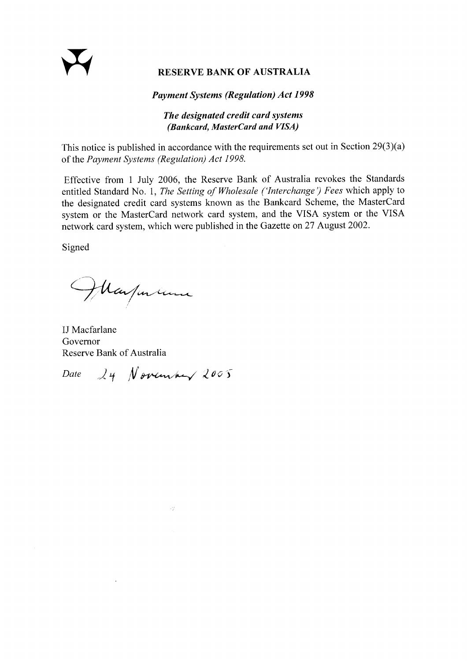# RESERVE BANK OF AUSTRALIA

#### **Payment Systems (Regulation) Act 1998**

## The designated credit card systems (Bankcard, MasterCard and VISA)

This notice is published in accordance with the requirements set out in Section 29(3)(a) of the Payment Systems (Regulation) Act 1998.

Effective from 1 July 2006, the Reserve Bank of Australia revokes the Standards entitled Standard No. 1, The Setting of Wholesale ('Interchange') Fees which apply to the designated credit card systems known as the Bankcard Scheme, the MasterCard system or the MasterCard network card system, and the VISA system or the VISA network card system, which were published in the Gazette on 27 August 2002.

Signed

Margarana

IJ Macfarlane Governor Reserve Bank of Australia

 $24$  November 2005 Date

37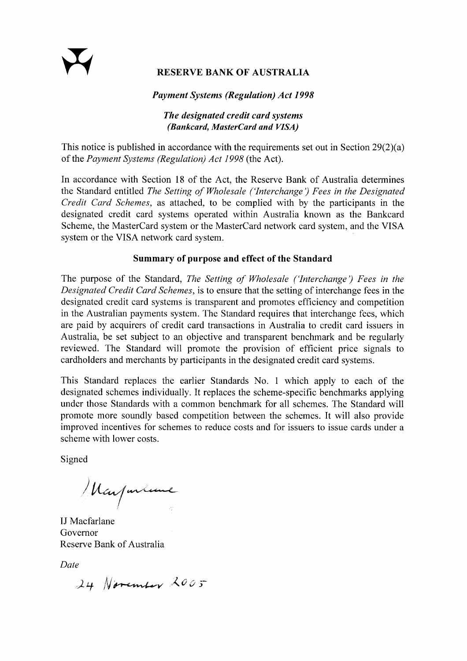## **RESERVE BANK OF AUSTRALIA**

## **Payment Systems (Regulation) Act 1998**

## The designated credit card systems (Bankcard, MasterCard and VISA)

This notice is published in accordance with the requirements set out in Section  $29(2)(a)$ of the Payment Systems (Regulation) Act 1998 (the Act).

In accordance with Section 18 of the Act, the Reserve Bank of Australia determines the Standard entitled The Setting of Wholesale ('Interchange') Fees in the Designated Credit Card Schemes, as attached, to be complied with by the participants in the designated credit card systems operated within Australia known as the Bankcard Scheme, the MasterCard system or the MasterCard network card system, and the VISA system or the VISA network card system.

## Summary of purpose and effect of the Standard

The purpose of the Standard, The Setting of Wholesale ('Interchange') Fees in the Designated Credit Card Schemes, is to ensure that the setting of interchange fees in the designated credit card systems is transparent and promotes efficiency and competition in the Australian payments system. The Standard requires that interchange fees, which are paid by acquirers of credit card transactions in Australia to credit card issuers in Australia, be set subject to an objective and transparent benchmark and be regularly reviewed. The Standard will promote the provision of efficient price signals to cardholders and merchants by participants in the designated credit card systems.

This Standard replaces the earlier Standards No. 1 which apply to each of the designated schemes individually. It replaces the scheme-specific benchmarks applying under those Standards with a common benchmark for all schemes. The Standard will promote more soundly based competition between the schemes. It will also provide improved incentives for schemes to reduce costs and for issuers to issue cards under a scheme with lower costs.

Signed

Margarline

**IJ** Macfarlane Governor Reserve Bank of Australia

Date

24 November 2005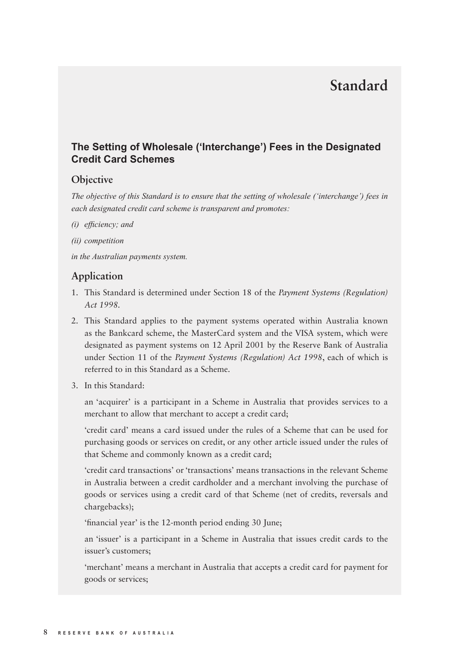# **Standard**

#### **The Setting of Wholesale ('Interchange') Fees in the Designated Credit Card Schemes**

#### **Objective**

*The objective of this Standard is to ensure that the setting of wholesale ('interchange') fees in each designated credit card scheme is transparent and promotes:*

- *(i)* efficiency; and
- *(ii) competition*

*in the Australian payments system.*

## **Application**

- 1. This Standard is determined under Section 18 of the *Payment Systems (Regulation) Act 1998.*
- 2. This Standard applies to the payment systems operated within Australia known as the Bankcard scheme, the MasterCard system and the VISA system, which were designated as payment systems on 12 April 2001 by the Reserve Bank of Australia under Section 11 of the *Payment Systems (Regulation) Act 1998*, each of which is referred to in this Standard as a Scheme.
- 3. In this Standard:

 an 'acquirer' is a participant in a Scheme in Australia that provides services to a merchant to allow that merchant to accept a credit card;

 'credit card' means a card issued under the rules of a Scheme that can be used for purchasing goods or services on credit, or any other article issued under the rules of that Scheme and commonly known as a credit card;

 'credit card transactions' or 'transactions' means transactions in the relevant Scheme in Australia between a credit cardholder and a merchant involving the purchase of goods or services using a credit card of that Scheme (net of credits, reversals and chargebacks);

'financial year' is the 12-month period ending 30 June;

 an 'issuer' is a participant in a Scheme in Australia that issues credit cards to the issuer's customers;

 'merchant' means a merchant in Australia that accepts a credit card for payment for goods or services;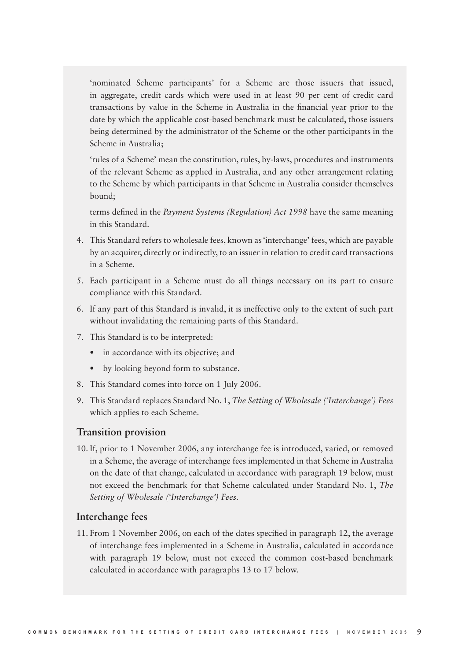'nominated Scheme participants' for a Scheme are those issuers that issued, in aggregate, credit cards which were used in at least 90 per cent of credit card transactions by value in the Scheme in Australia in the financial year prior to the date by which the applicable cost-based benchmark must be calculated, those issuers being determined by the administrator of the Scheme or the other participants in the Scheme in Australia;

 'rules of a Scheme' mean the constitution, rules, by-laws, procedures and instruments of the relevant Scheme as applied in Australia, and any other arrangement relating to the Scheme by which participants in that Scheme in Australia consider themselves bound;

terms defined in the *Payment Systems (Regulation) Act 1998* have the same meaning in this Standard.

- 4. This Standard refers to wholesale fees, known as 'interchange' fees, which are payable by an acquirer, directly or indirectly, to an issuer in relation to credit card transactions in a Scheme.
- 5. Each participant in a Scheme must do all things necessary on its part to ensure compliance with this Standard.
- 6. If any part of this Standard is invalid, it is ineffective only to the extent of such part without invalidating the remaining parts of this Standard.
- 7. This Standard is to be interpreted:
	- in accordance with its objective; and
	- by looking beyond form to substance.
- 8. This Standard comes into force on 1 July 2006.
- 9. This Standard replaces Standard No. 1, *The Setting of Wholesale ('Interchange') Fees* which applies to each Scheme.

#### **Transition provision**

10. If, prior to 1 November 2006, any interchange fee is introduced, varied, or removed in a Scheme, the average of interchange fees implemented in that Scheme in Australia on the date of that change, calculated in accordance with paragraph 19 below, must not exceed the benchmark for that Scheme calculated under Standard No. 1, *The Setting of Wholesale ('Interchange') Fees.*

#### **Interchange fees**

11. From 1 November 2006, on each of the dates specified in paragraph  $12$ , the average of interchange fees implemented in a Scheme in Australia, calculated in accordance with paragraph 19 below, must not exceed the common cost-based benchmark calculated in accordance with paragraphs 13 to 17 below.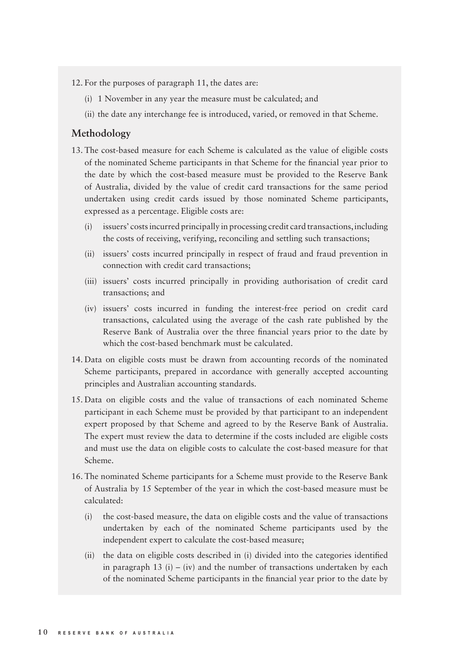12. For the purposes of paragraph 11, the dates are:

- (i) 1 November in any year the measure must be calculated; and
- (ii) the date any interchange fee is introduced, varied, or removed in that Scheme.

#### **Methodology**

- 13. The cost-based measure for each Scheme is calculated as the value of eligible costs of the nominated Scheme participants in that Scheme for the financial year prior to the date by which the cost-based measure must be provided to the Reserve Bank of Australia, divided by the value of credit card transactions for the same period undertaken using credit cards issued by those nominated Scheme participants, expressed as a percentage. Eligible costs are:
	- (i) issuers' costs incurred principally in processing credit card transactions, including the costs of receiving, verifying, reconciling and settling such transactions;
	- (ii) issuers' costs incurred principally in respect of fraud and fraud prevention in connection with credit card transactions;
	- (iii) issuers' costs incurred principally in providing authorisation of credit card transactions; and
	- (iv) issuers' costs incurred in funding the interest-free period on credit card transactions, calculated using the average of the cash rate published by the Reserve Bank of Australia over the three financial years prior to the date by which the cost-based benchmark must be calculated.
- 14. Data on eligible costs must be drawn from accounting records of the nominated Scheme participants, prepared in accordance with generally accepted accounting principles and Australian accounting standards.
- 15. Data on eligible costs and the value of transactions of each nominated Scheme participant in each Scheme must be provided by that participant to an independent expert proposed by that Scheme and agreed to by the Reserve Bank of Australia. The expert must review the data to determine if the costs included are eligible costs and must use the data on eligible costs to calculate the cost-based measure for that Scheme.
- 16. The nominated Scheme participants for a Scheme must provide to the Reserve Bank of Australia by 15 September of the year in which the cost-based measure must be calculated:
	- (i) the cost-based measure, the data on eligible costs and the value of transactions undertaken by each of the nominated Scheme participants used by the independent expert to calculate the cost-based measure;
	- (ii) the data on eligible costs described in (i) divided into the categories identified in paragraph 13 (i) – (iv) and the number of transactions undertaken by each of the nominated Scheme participants in the financial year prior to the date by